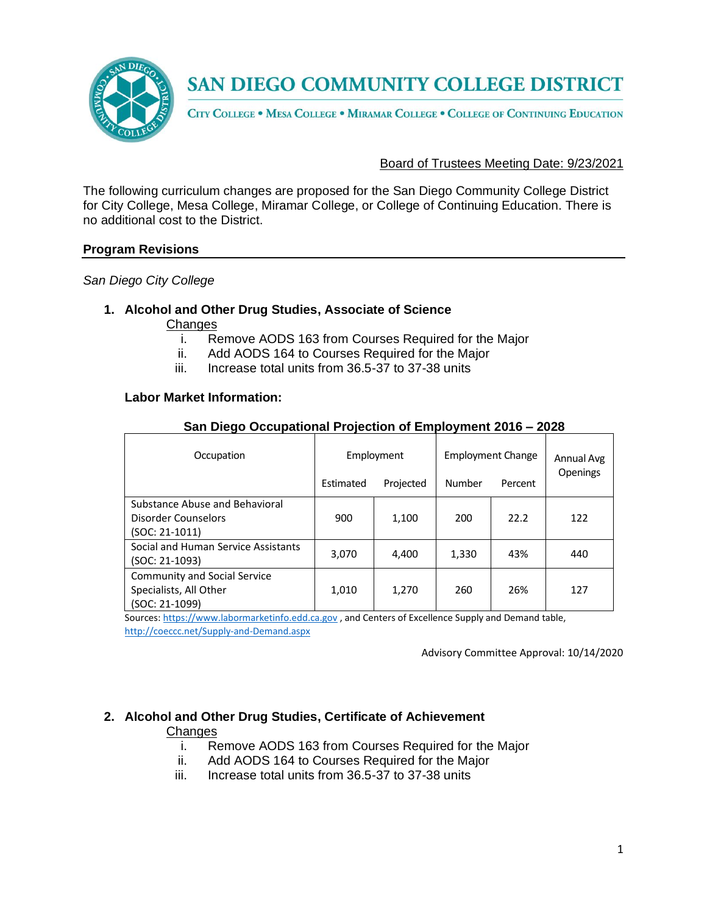

CITY COLLEGE . MESA COLLEGE . MIRAMAR COLLEGE . COLLEGE OF CONTINUING EDUCATION

#### Board of Trustees Meeting Date: 9/23/2021

The following curriculum changes are proposed for the San Diego Community College District for City College, Mesa College, Miramar College, or College of Continuing Education. There is no additional cost to the District.

#### **Program Revisions**

*San Diego City College*

# **1. Alcohol and Other Drug Studies, Associate of Science**

- Changes
	- i. Remove AODS 163 from Courses Required for the Major
	- ii. Add AODS 164 to Courses Required for the Major
	- iii. Increase total units from 36.5-37 to 37-38 units

#### **Labor Market Information:**

| Occupation                                                                      | Employment |           | <b>Employment Change</b> |         | Annual Avg |
|---------------------------------------------------------------------------------|------------|-----------|--------------------------|---------|------------|
|                                                                                 | Estimated  | Projected | Number                   | Percent | Openings   |
| Substance Abuse and Behavioral<br>Disorder Counselors<br>(SOC: 21-1011)         | 900        | 1,100     | 200                      | 22.2    | 122        |
| Social and Human Service Assistants<br>(SOC: 21-1093)                           | 3,070      | 4.400     | 1,330                    | 43%     | 440        |
| <b>Community and Social Service</b><br>Specialists, All Other<br>(SOC: 21-1099) | 1,010      | 1,270     | 260                      | 26%     | 127        |

#### **San Diego Occupational Projection of Employment 2016 – 2028**

Sources[: https://www.labormarketinfo.edd.ca.gov](https://www.labormarketinfo.edd.ca.gov/), and Centers of Excellence Supply and Demand table, <http://coeccc.net/Supply-and-Demand.aspx>

Advisory Committee Approval: 10/14/2020

#### **2. Alcohol and Other Drug Studies, Certificate of Achievement Changes**

- i. Remove AODS 163 from Courses Required for the Major
- ii. Add AODS 164 to Courses Required for the Major
- iii. Increase total units from 36.5-37 to 37-38 units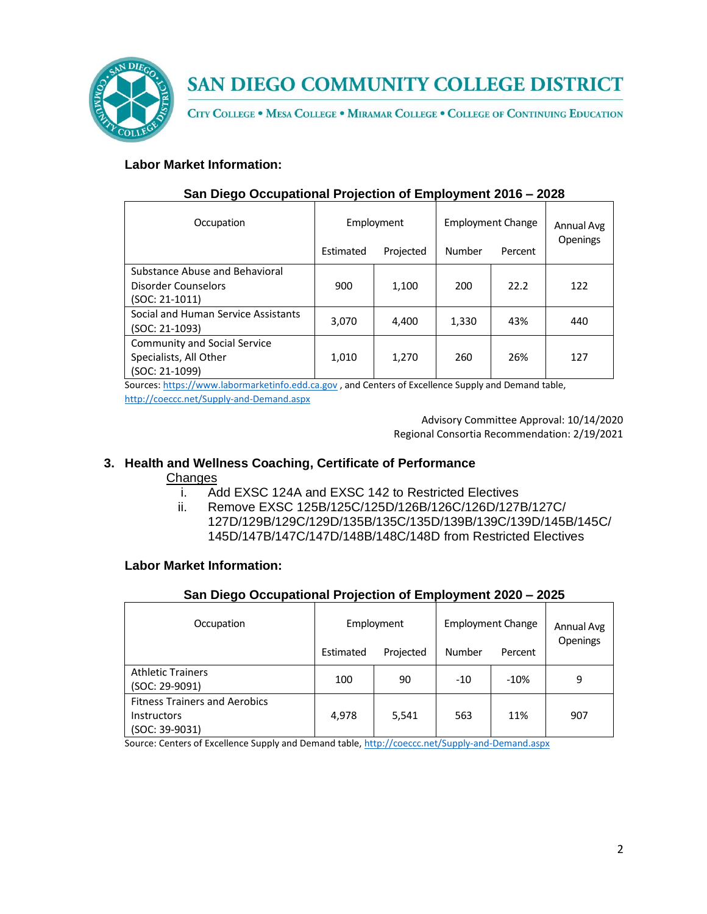

CITY COLLEGE . MESA COLLEGE . MIRAMAR COLLEGE . COLLEGE OF CONTINUING EDUCATION

# **Labor Market Information:**

| Occupation                                                                      | Employment |           | <b>Employment Change</b> |         | Annual Avg      |
|---------------------------------------------------------------------------------|------------|-----------|--------------------------|---------|-----------------|
|                                                                                 | Estimated  | Projected | Number                   | Percent | <b>Openings</b> |
| Substance Abuse and Behavioral<br>Disorder Counselors<br>(SOC: 21-1011)         | 900        | 1,100     | 200                      | 22.2    | 122             |
| Social and Human Service Assistants<br>(SOC: 21-1093)                           | 3,070      | 4.400     | 1,330                    | 43%     | 440             |
| <b>Community and Social Service</b><br>Specialists, All Other<br>(SOC: 21-1099) | 1,010      | 1,270     | 260                      | 26%     | 127             |

## **San Diego Occupational Projection of Employment 2016 – 2028**

Sources[: https://www.labormarketinfo.edd.ca.gov](https://www.labormarketinfo.edd.ca.gov/) , and Centers of Excellence Supply and Demand table, <http://coeccc.net/Supply-and-Demand.aspx>

> Advisory Committee Approval: 10/14/2020 Regional Consortia Recommendation: 2/19/2021

# **3. Health and Wellness Coaching, Certificate of Performance**

## **Changes**

- i. Add EXSC 124A and EXSC 142 to Restricted Electives
- ii. Remove EXSC 125B/125C/125D/126B/126C/126D/127B/127C/ 127D/129B/129C/129D/135B/135C/135D/139B/139C/139D/145B/145C/ 145D/147B/147C/147D/148B/148C/148D from Restricted Electives

## **Labor Market Information:**

## **San Diego Occupational Projection of Employment 2020 – 2025**

| Occupation                                                                   | Employment |           | <b>Employment Change</b> |         | Annual Avg<br>Openings |
|------------------------------------------------------------------------------|------------|-----------|--------------------------|---------|------------------------|
|                                                                              | Estimated  | Projected | Number                   | Percent |                        |
| <b>Athletic Trainers</b><br>(SOC: 29-9091)                                   | 100        | 90        | $-10$                    | $-10%$  | 9                      |
| <b>Fitness Trainers and Aerobics</b><br><b>Instructors</b><br>(SOC: 39-9031) | 4.978      | 5,541     | 563                      | 11%     | 907                    |

Source: Centers of Excellence Supply and Demand table, <http://coeccc.net/Supply-and-Demand.aspx>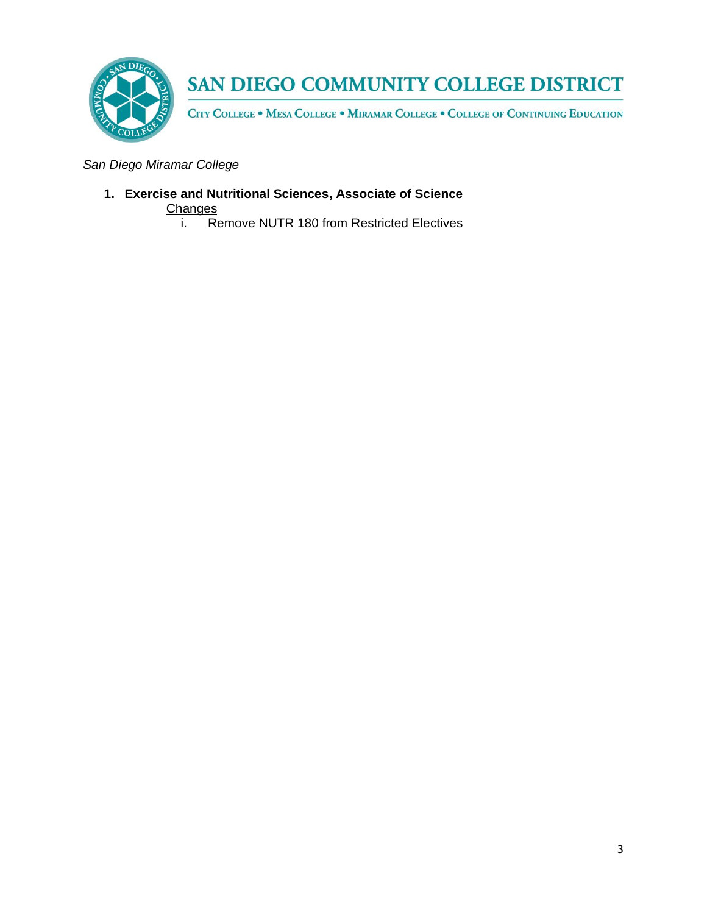

CITY COLLEGE . MESA COLLEGE . MIRAMAR COLLEGE . COLLEGE OF CONTINUING EDUCATION

*San Diego Miramar College*

**1. Exercise and Nutritional Sciences, Associate of Science Changes** 

i. Remove NUTR 180 from Restricted Electives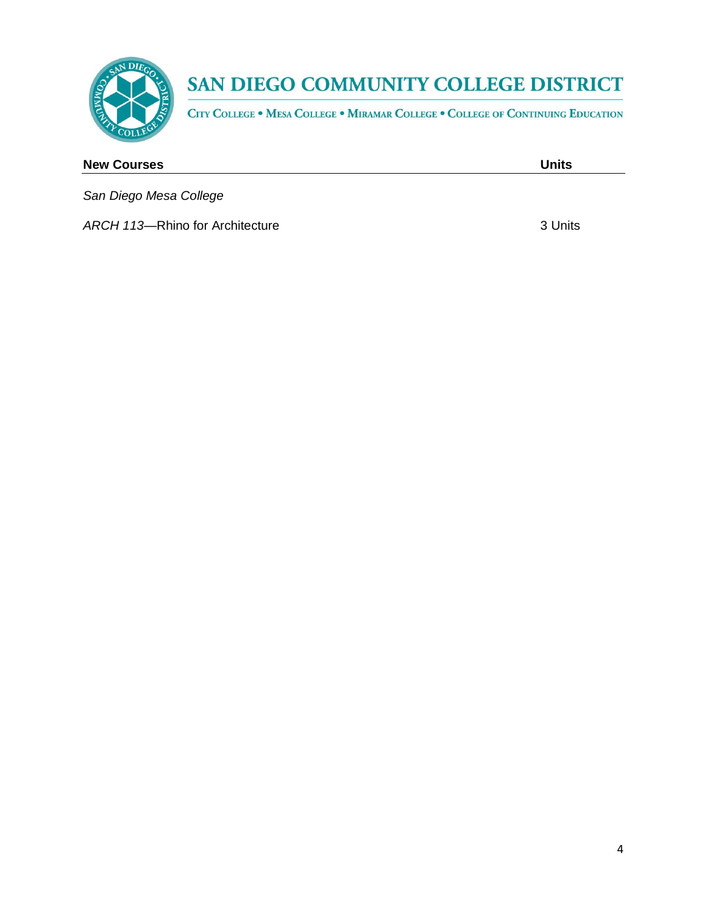

CITY COLLEGE . MESA COLLEGE . MIRAMAR COLLEGE . COLLEGE OF CONTINUING EDUCATION

# **New Courses Units** *San Diego Mesa College*

**ARCH 113—Rhino for Architecture 3 Units** 3 Units